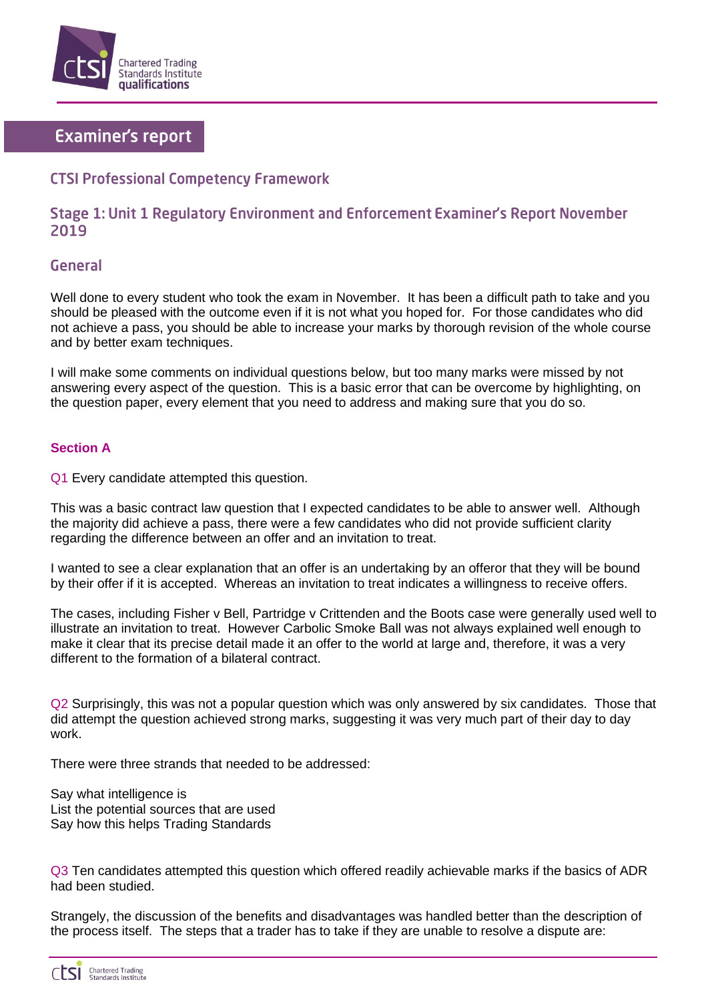

# **Examiner's report**

## **CTSI Professional Competency Framework**

### Stage 1: Unit 1 Regulatory Environment and Enforcement Examiner's Report November 2019

#### **General**

Well done to every student who took the exam in November. It has been a difficult path to take and you should be pleased with the outcome even if it is not what you hoped for. For those candidates who did not achieve a pass, you should be able to increase your marks by thorough revision of the whole course and by better exam techniques.

I will make some comments on individual questions below, but too many marks were missed by not answering every aspect of the question. This is a basic error that can be overcome by highlighting, on the question paper, every element that you need to address and making sure that you do so.

#### **Section A**

Q1 Every candidate attempted this question.

This was a basic contract law question that I expected candidates to be able to answer well. Although the majority did achieve a pass, there were a few candidates who did not provide sufficient clarity regarding the difference between an offer and an invitation to treat.

I wanted to see a clear explanation that an offer is an undertaking by an offeror that they will be bound by their offer if it is accepted. Whereas an invitation to treat indicates a willingness to receive offers.

The cases, including Fisher v Bell, Partridge v Crittenden and the Boots case were generally used well to illustrate an invitation to treat. However Carbolic Smoke Ball was not always explained well enough to make it clear that its precise detail made it an offer to the world at large and, therefore, it was a very different to the formation of a bilateral contract.

Q2 Surprisingly, this was not a popular question which was only answered by six candidates. Those that did attempt the question achieved strong marks, suggesting it was very much part of their day to day work.

There were three strands that needed to be addressed:

Say what intelligence is List the potential sources that are used Say how this helps Trading Standards

Q3 Ten candidates attempted this question which offered readily achievable marks if the basics of ADR had been studied.

Strangely, the discussion of the benefits and disadvantages was handled better than the description of the process itself. The steps that a trader has to take if they are unable to resolve a dispute are:

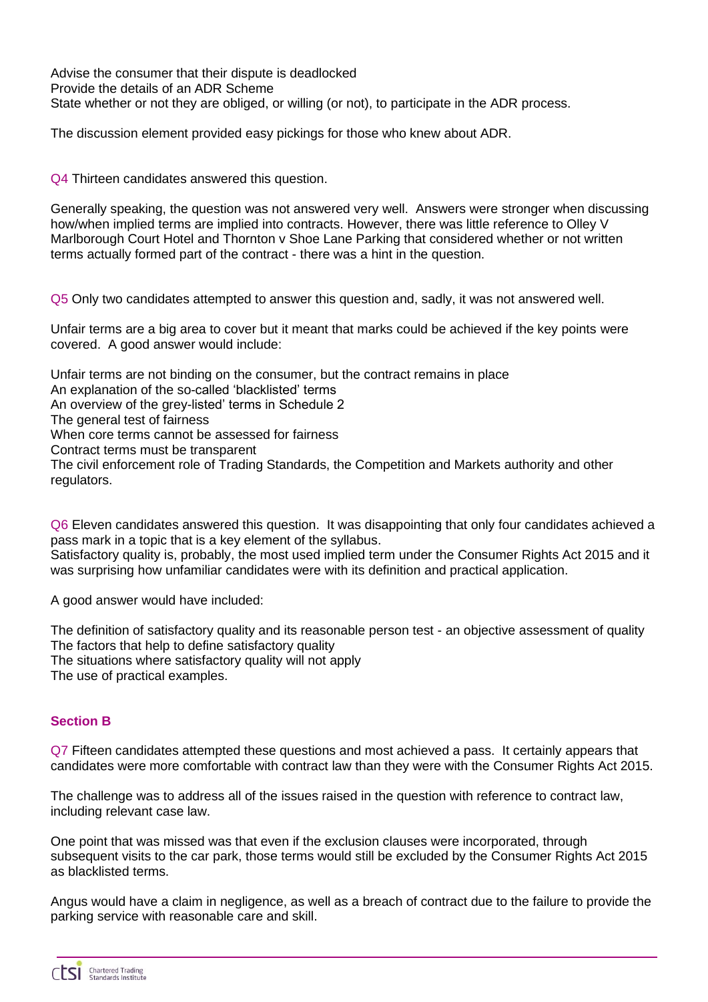Advise the consumer that their dispute is deadlocked Provide the details of an ADR Scheme State whether or not they are obliged, or willing (or not), to participate in the ADR process.

The discussion element provided easy pickings for those who knew about ADR.

Q4 Thirteen candidates answered this question.

Generally speaking, the question was not answered very well. Answers were stronger when discussing how/when implied terms are implied into contracts. However, there was little reference to Olley V Marlborough Court Hotel and Thornton v Shoe Lane Parking that considered whether or not written terms actually formed part of the contract - there was a hint in the question.

Q5 Only two candidates attempted to answer this question and, sadly, it was not answered well.

Unfair terms are a big area to cover but it meant that marks could be achieved if the key points were covered. A good answer would include:

Unfair terms are not binding on the consumer, but the contract remains in place An explanation of the so-called 'blacklisted' terms An overview of the grey-listed' terms in Schedule 2 The general test of fairness When core terms cannot be assessed for fairness Contract terms must be transparent The civil enforcement role of Trading Standards, the Competition and Markets authority and other regulators.

Q6 Eleven candidates answered this question. It was disappointing that only four candidates achieved a pass mark in a topic that is a key element of the syllabus. Satisfactory quality is, probably, the most used implied term under the Consumer Rights Act 2015 and it was surprising how unfamiliar candidates were with its definition and practical application.

A good answer would have included:

The definition of satisfactory quality and its reasonable person test - an objective assessment of quality The factors that help to define satisfactory quality The situations where satisfactory quality will not apply The use of practical examples.

#### **Section B**

Q7 Fifteen candidates attempted these questions and most achieved a pass. It certainly appears that candidates were more comfortable with contract law than they were with the Consumer Rights Act 2015.

The challenge was to address all of the issues raised in the question with reference to contract law, including relevant case law.

One point that was missed was that even if the exclusion clauses were incorporated, through subsequent visits to the car park, those terms would still be excluded by the Consumer Rights Act 2015 as blacklisted terms.

Angus would have a claim in negligence, as well as a breach of contract due to the failure to provide the parking service with reasonable care and skill.